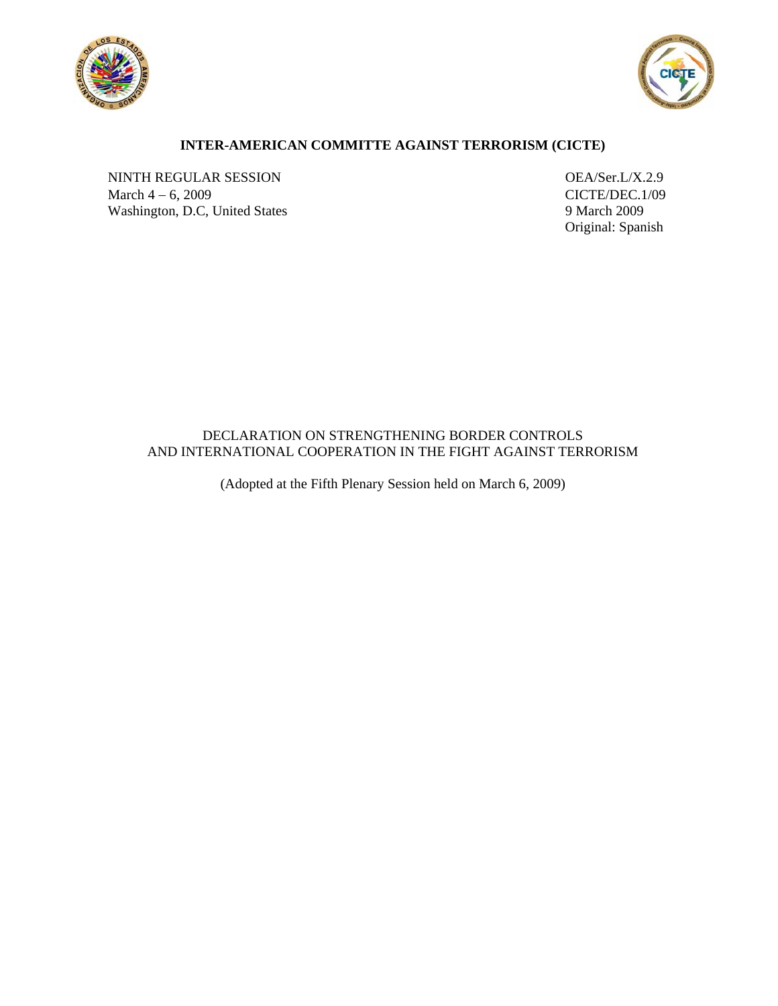



# **INTER-AMERICAN COMMITTE AGAINST TERRORISM (CICTE)**

NINTH REGULAR SESSION OEA/Ser.L/X.2.9 March 4 − 6, 2009<br>
Washington, D.C, United States<br>
9 March 2009<br>
9 March 2009 Washington, D.C, United States

Original: Spanish

## DECLARATION ON STRENGTHENING BORDER CONTROLS AND INTERNATIONAL COOPERATION IN THE FIGHT AGAINST TERRORISM

(Adopted at the Fifth Plenary Session held on March 6, 2009)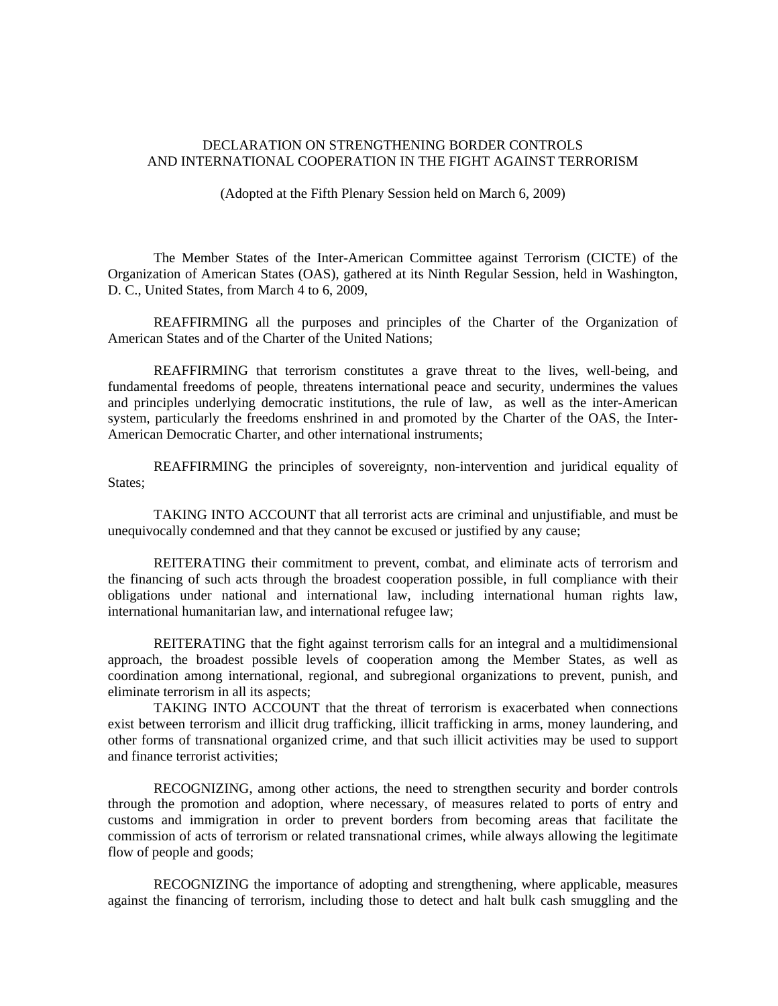### DECLARATION ON STRENGTHENING BORDER CONTROLS AND INTERNATIONAL COOPERATION IN THE FIGHT AGAINST TERRORISM

(Adopted at the Fifth Plenary Session held on March 6, 2009)

The Member States of the Inter-American Committee against Terrorism (CICTE) of the Organization of American States (OAS), gathered at its Ninth Regular Session, held in Washington, D. C., United States, from March 4 to 6, 2009,

REAFFIRMING all the purposes and principles of the Charter of the Organization of American States and of the Charter of the United Nations;

REAFFIRMING that terrorism constitutes a grave threat to the lives, well-being, and fundamental freedoms of people, threatens international peace and security, undermines the values and principles underlying democratic institutions, the rule of law, as well as the inter-American system, particularly the freedoms enshrined in and promoted by the Charter of the OAS, the Inter-American Democratic Charter, and other international instruments;

REAFFIRMING the principles of sovereignty, non-intervention and juridical equality of States;

TAKING INTO ACCOUNT that all terrorist acts are criminal and unjustifiable, and must be unequivocally condemned and that they cannot be excused or justified by any cause;

REITERATING their commitment to prevent, combat, and eliminate acts of terrorism and the financing of such acts through the broadest cooperation possible, in full compliance with their obligations under national and international law, including international human rights law, international humanitarian law, and international refugee law;

REITERATING that the fight against terrorism calls for an integral and a multidimensional approach, the broadest possible levels of cooperation among the Member States, as well as coordination among international, regional, and subregional organizations to prevent, punish, and eliminate terrorism in all its aspects;

TAKING INTO ACCOUNT that the threat of terrorism is exacerbated when connections exist between terrorism and illicit drug trafficking, illicit trafficking in arms, money laundering, and other forms of transnational organized crime, and that such illicit activities may be used to support and finance terrorist activities;

RECOGNIZING, among other actions, the need to strengthen security and border controls through the promotion and adoption, where necessary, of measures related to ports of entry and customs and immigration in order to prevent borders from becoming areas that facilitate the commission of acts of terrorism or related transnational crimes, while always allowing the legitimate flow of people and goods;

RECOGNIZING the importance of adopting and strengthening, where applicable, measures against the financing of terrorism, including those to detect and halt bulk cash smuggling and the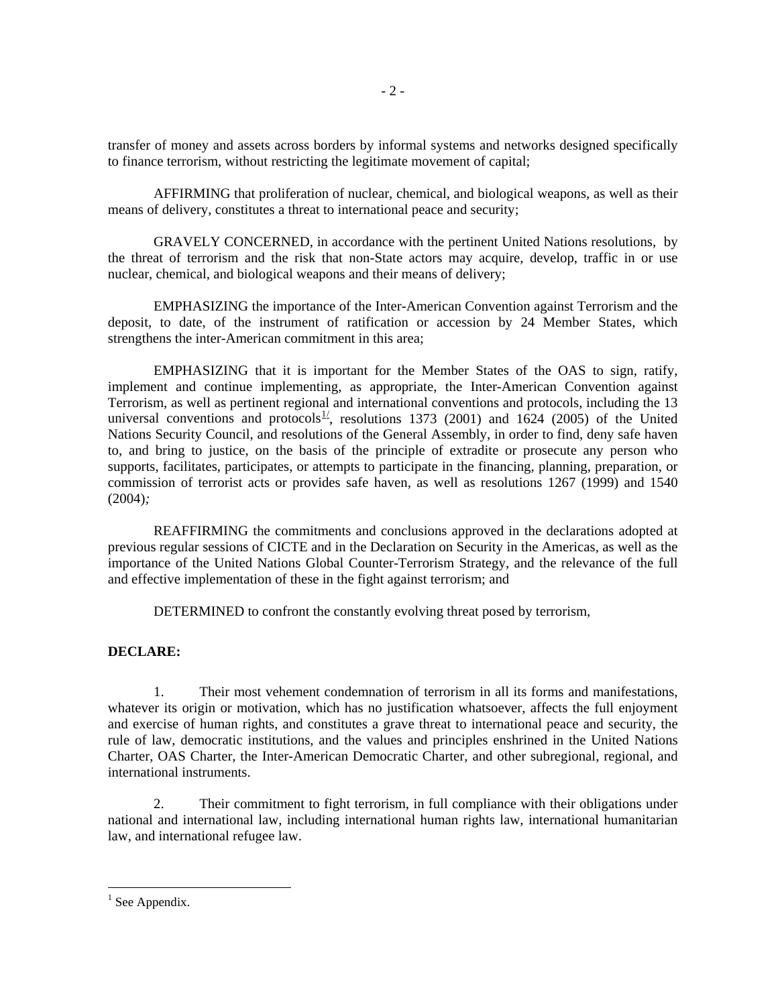transfer of money and assets across borders by informal systems and networks designed specifically to finance terrorism, without restricting the legitimate movement of capital;

AFFIRMING that proliferation of nuclear, chemical, and biological weapons, as well as their means of delivery, constitutes a threat to international peace and security;

GRAVELY CONCERNED, in accordance with the pertinent United Nations resolutions, by the threat of terrorism and the risk that non-State actors may acquire, develop, traffic in or use nuclear, chemical, and biological weapons and their means of delivery;

EMPHASIZING the importance of the Inter-American Convention against Terrorism and the deposit, to date, of the instrument of ratification or accession by 24 Member States, which strengthens the inter-American commitment in this area;

EMPHASIZING that it is important for the Member States of the OAS to sign, ratify, implement and continue implementing, as appropriate, the Inter-American Convention against Terrorism, as well as pertinent regional and international conventions and protocols, including the 13 universal conventions and protocols<sup>[1](#page-2-0)/</sup>, resolutions 1373 (2001) and 1624 (2005) of the United Nations Security Council, and resolutions of the General Assembly, in order to find, deny safe haven to, and bring to justice, on the basis of the principle of extradite or prosecute any person who supports, facilitates, participates, or attempts to participate in the financing, planning, preparation, or commission of terrorist acts or provides safe haven, as well as resolutions 1267 (1999) and 1540 (2004)*;*

REAFFIRMING the commitments and conclusions approved in the declarations adopted at previous regular sessions of CICTE and in the Declaration on Security in the Americas, as well as the importance of the United Nations Global Counter-Terrorism Strategy, and the relevance of the full and effective implementation of these in the fight against terrorism; and

DETERMINED to confront the constantly evolving threat posed by terrorism,

#### **DECLARE:**

1. Their most vehement condemnation of terrorism in all its forms and manifestations, whatever its origin or motivation, which has no justification whatsoever, affects the full enjoyment and exercise of human rights, and constitutes a grave threat to international peace and security, the rule of law, democratic institutions, and the values and principles enshrined in the United Nations Charter, OAS Charter, the Inter-American Democratic Charter, and other subregional, regional, and international instruments.

2. Their commitment to fight terrorism, in full compliance with their obligations under national and international law, including international human rights law, international humanitarian law, and international refugee law.

<u>.</u>

<span id="page-2-0"></span> $<sup>1</sup>$  See Appendix.</sup>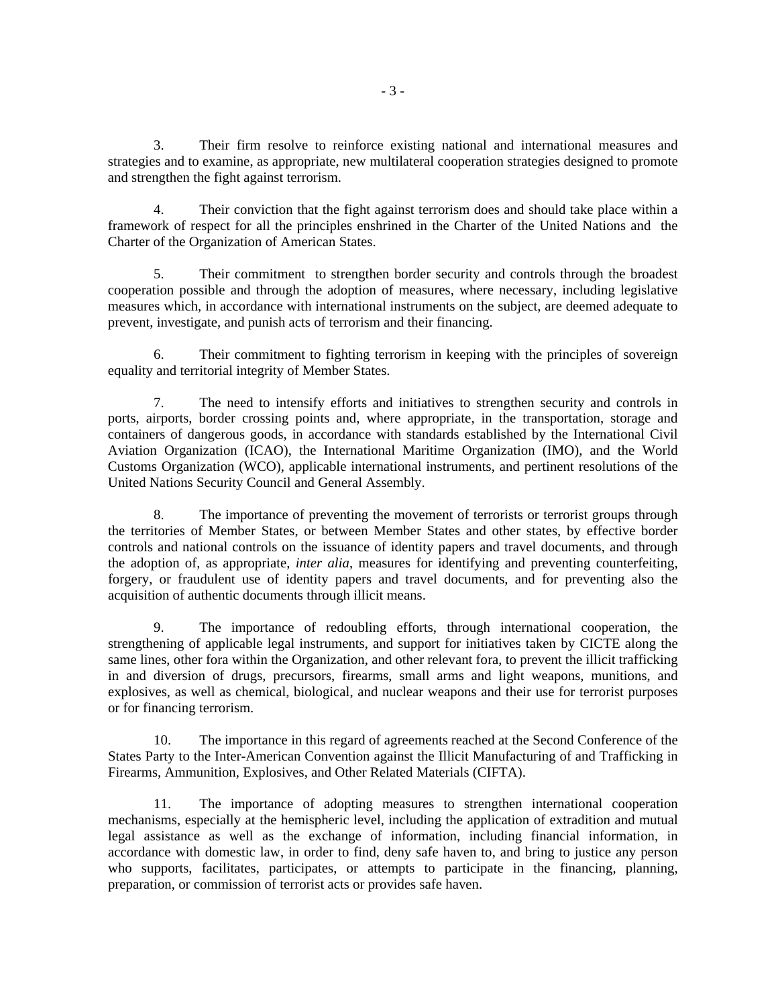3. Their firm resolve to reinforce existing national and international measures and strategies and to examine, as appropriate, new multilateral cooperation strategies designed to promote and strengthen the fight against terrorism.

4. Their conviction that the fight against terrorism does and should take place within a framework of respect for all the principles enshrined in the Charter of the United Nations and the Charter of the Organization of American States.

5. Their commitment to strengthen border security and controls through the broadest cooperation possible and through the adoption of measures, where necessary, including legislative measures which, in accordance with international instruments on the subject, are deemed adequate to prevent, investigate, and punish acts of terrorism and their financing.

6. Their commitment to fighting terrorism in keeping with the principles of sovereign equality and territorial integrity of Member States.

7. The need to intensify efforts and initiatives to strengthen security and controls in ports, airports, border crossing points and, where appropriate, in the transportation, storage and containers of dangerous goods, in accordance with standards established by the International Civil Aviation Organization (ICAO), the International Maritime Organization (IMO), and the World Customs Organization (WCO), applicable international instruments, and pertinent resolutions of the United Nations Security Council and General Assembly.

8. The importance of preventing the movement of terrorists or terrorist groups through the territories of Member States, or between Member States and other states, by effective border controls and national controls on the issuance of identity papers and travel documents, and through the adoption of, as appropriate, *inter alia*, measures for identifying and preventing counterfeiting, forgery, or fraudulent use of identity papers and travel documents, and for preventing also the acquisition of authentic documents through illicit means.

9. The importance of redoubling efforts, through international cooperation, the strengthening of applicable legal instruments, and support for initiatives taken by CICTE along the same lines, other fora within the Organization, and other relevant fora, to prevent the illicit trafficking in and diversion of drugs, precursors, firearms, small arms and light weapons, munitions, and explosives, as well as chemical, biological, and nuclear weapons and their use for terrorist purposes or for financing terrorism.

10. The importance in this regard of agreements reached at the Second Conference of the States Party to the Inter-American Convention against the Illicit Manufacturing of and Trafficking in Firearms, Ammunition, Explosives, and Other Related Materials (CIFTA).

11. The importance of adopting measures to strengthen international cooperation mechanisms, especially at the hemispheric level, including the application of extradition and mutual legal assistance as well as the exchange of information, including financial information, in accordance with domestic law, in order to find, deny safe haven to, and bring to justice any person who supports, facilitates, participates, or attempts to participate in the financing, planning, preparation, or commission of terrorist acts or provides safe haven.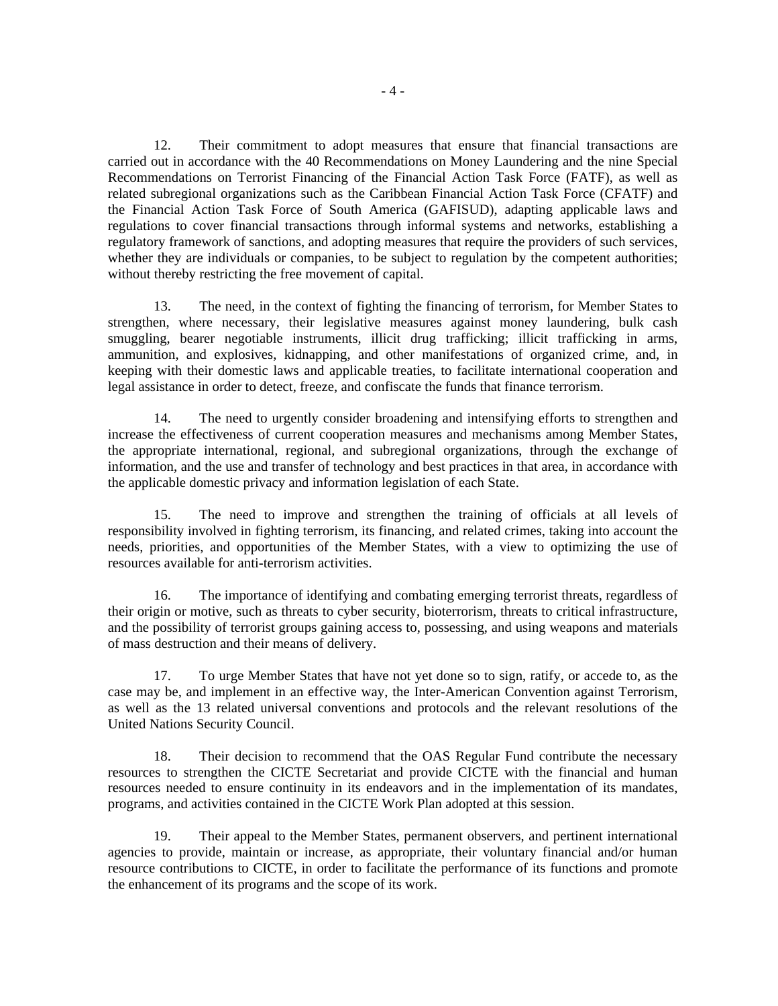12. Their commitment to adopt measures that ensure that financial transactions are carried out in accordance with the 40 Recommendations on Money Laundering and the nine Special Recommendations on Terrorist Financing of the Financial Action Task Force (FATF), as well as related subregional organizations such as the Caribbean Financial Action Task Force (CFATF) and the Financial Action Task Force of South America (GAFISUD), adapting applicable laws and regulations to cover financial transactions through informal systems and networks, establishing a regulatory framework of sanctions, and adopting measures that require the providers of such services, whether they are individuals or companies, to be subject to regulation by the competent authorities; without thereby restricting the free movement of capital.

13. The need, in the context of fighting the financing of terrorism, for Member States to strengthen, where necessary, their legislative measures against money laundering, bulk cash smuggling, bearer negotiable instruments, illicit drug trafficking; illicit trafficking in arms, ammunition, and explosives, kidnapping, and other manifestations of organized crime, and, in keeping with their domestic laws and applicable treaties, to facilitate international cooperation and legal assistance in order to detect, freeze, and confiscate the funds that finance terrorism.

14. The need to urgently consider broadening and intensifying efforts to strengthen and increase the effectiveness of current cooperation measures and mechanisms among Member States, the appropriate international, regional, and subregional organizations, through the exchange of information, and the use and transfer of technology and best practices in that area, in accordance with the applicable domestic privacy and information legislation of each State.

15. The need to improve and strengthen the training of officials at all levels of responsibility involved in fighting terrorism, its financing, and related crimes, taking into account the needs, priorities, and opportunities of the Member States, with a view to optimizing the use of resources available for anti-terrorism activities.

16. The importance of identifying and combating emerging terrorist threats, regardless of their origin or motive, such as threats to cyber security, bioterrorism, threats to critical infrastructure, and the possibility of terrorist groups gaining access to, possessing, and using weapons and materials of mass destruction and their means of delivery.

17. To urge Member States that have not yet done so to sign, ratify, or accede to, as the case may be, and implement in an effective way, the Inter-American Convention against Terrorism, as well as the 13 related universal conventions and protocols and the relevant resolutions of the United Nations Security Council.

18. Their decision to recommend that the OAS Regular Fund contribute the necessary resources to strengthen the CICTE Secretariat and provide CICTE with the financial and human resources needed to ensure continuity in its endeavors and in the implementation of its mandates, programs, and activities contained in the CICTE Work Plan adopted at this session.

19. Their appeal to the Member States, permanent observers, and pertinent international agencies to provide, maintain or increase, as appropriate, their voluntary financial and/or human resource contributions to CICTE, in order to facilitate the performance of its functions and promote the enhancement of its programs and the scope of its work.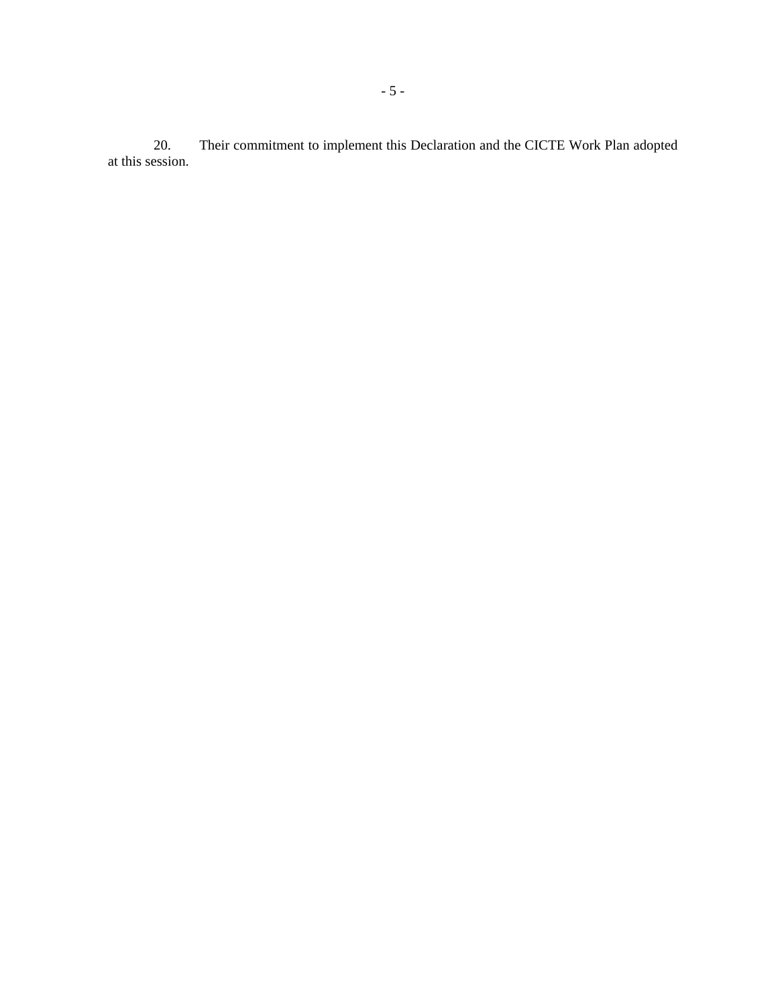Their commitment to implement this Declaration and the CICTE Work Plan adopted 20.<br>at this session.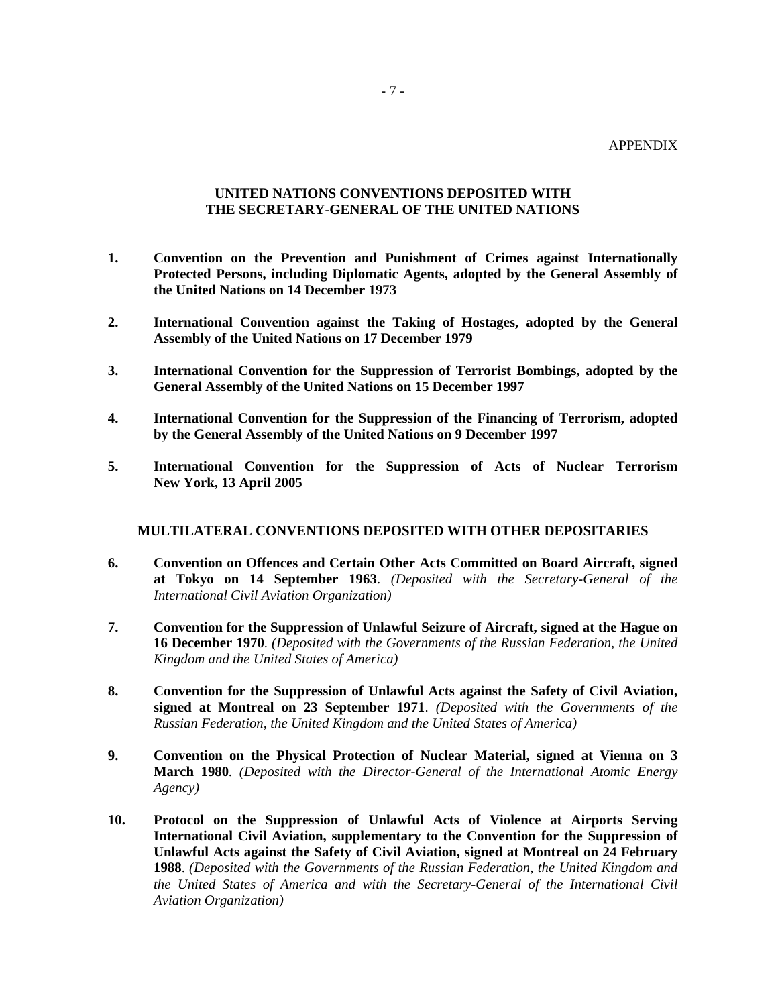#### APPENDIX

#### - 7 -

#### **UNITED NATIONS CONVENTIONS DEPOSITED WITH THE SECRETARY-GENERAL OF THE UNITED NATIONS**

- **1. Convention on the Prevention and Punishment of Crimes against Internationally Protected Persons, including Diplomatic Agents, adopted by the General Assembly of the United Nations on 14 December 1973**
- **2. International Convention against the Taking of Hostages, adopted by the General Assembly of the United Nations on 17 December 1979**
- **3. International Convention for the Suppression of Terrorist Bombings, adopted by the General Assembly of the United Nations on 15 December 1997**
- **4. International Convention for the Suppression of the Financing of Terrorism, adopted by the General Assembly of the United Nations on 9 December 1997**
- **5. International Convention for the Suppression of Acts of Nuclear Terrorism New York, 13 April 2005**

### **MULTILATERAL CONVENTIONS DEPOSITED WITH OTHER DEPOSITARIES**

- **6. Convention on Offences and Certain Other Acts Committed on Board Aircraft, signed at Tokyo on 14 September 1963**. *(Deposited with the Secretary-General of the International Civil Aviation Organization)*
- **7. Convention for the Suppression of Unlawful Seizure of Aircraft, signed at the Hague on 16 December 1970**. *(Deposited with the Governments of the Russian Federation, the United Kingdom and the United States of America)*
- **8. Convention for the Suppression of Unlawful Acts against the Safety of Civil Aviation, signed at Montreal on 23 September 1971**. *(Deposited with the Governments of the Russian Federation, the United Kingdom and the United States of America)*
- **9. Convention on the Physical Protection of Nuclear Material, signed at Vienna on 3 March 1980***. (Deposited with the Director-General of the International Atomic Energy Agency)*
- **10. Protocol on the Suppression of Unlawful Acts of Violence at Airports Serving International Civil Aviation, supplementary to the Convention for the Suppression of Unlawful Acts against the Safety of Civil Aviation, signed at Montreal on 24 February 1988**. *(Deposited with the Governments of the Russian Federation, the United Kingdom and the United States of America and with the Secretary-General of the International Civil Aviation Organization)*